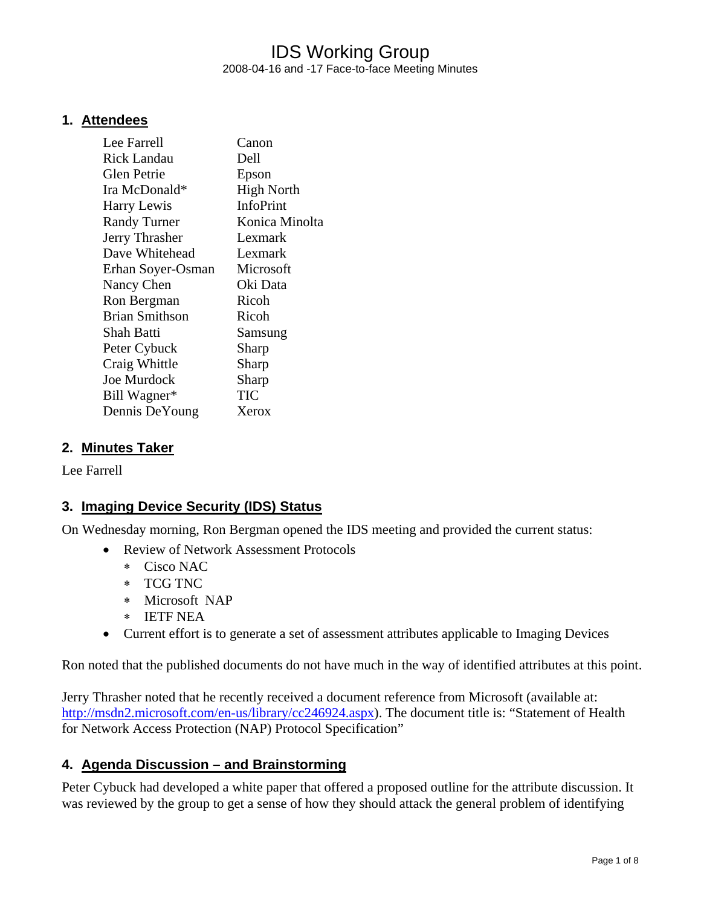## IDS Working Group 2008-04-16 and -17 Face-to-face Meeting Minutes

#### **1. Attendees**

| Lee Farrell           | Canon             |
|-----------------------|-------------------|
| Rick Landau           | Dell              |
| Glen Petrie           | Epson             |
| Ira McDonald*         | <b>High North</b> |
| Harry Lewis           | InfoPrint         |
| <b>Randy Turner</b>   | Konica Minolta    |
| Jerry Thrasher        | Lexmark           |
| Dave Whitehead        | Lexmark           |
| Erhan Soyer-Osman     | Microsoft         |
| Nancy Chen            | Oki Data          |
| Ron Bergman           | Ricoh             |
| <b>Brian Smithson</b> | Ricoh             |
| Shah Batti            | Samsung           |
| Peter Cybuck          | Sharp             |
| Craig Whittle         | Sharp             |
| <b>Joe Murdock</b>    | Sharp             |
| Bill Wagner*          | TIC               |
| Dennis DeYoung        | Xerox             |

#### **2. Minutes Taker**

Lee Farrell

#### **3. Imaging Device Security (IDS) Status**

On Wednesday morning, Ron Bergman opened the IDS meeting and provided the current status:

- Review of Network Assessment Protocols
	- ∗ Cisco NAC
	- ∗ TCG TNC
	- ∗ Microsoft NAP
	- ∗ IETF NEA
- Current effort is to generate a set of assessment attributes applicable to Imaging Devices

Ron noted that the published documents do not have much in the way of identified attributes at this point.

Jerry Thrasher noted that he recently received a document reference from Microsoft (available at: http://msdn2.microsoft.com/en-us/library/cc246924.aspx). The document title is: "Statement of Health for Network Access Protection (NAP) Protocol Specification"

#### **4. Agenda Discussion – and Brainstorming**

Peter Cybuck had developed a white paper that offered a proposed outline for the attribute discussion. It was reviewed by the group to get a sense of how they should attack the general problem of identifying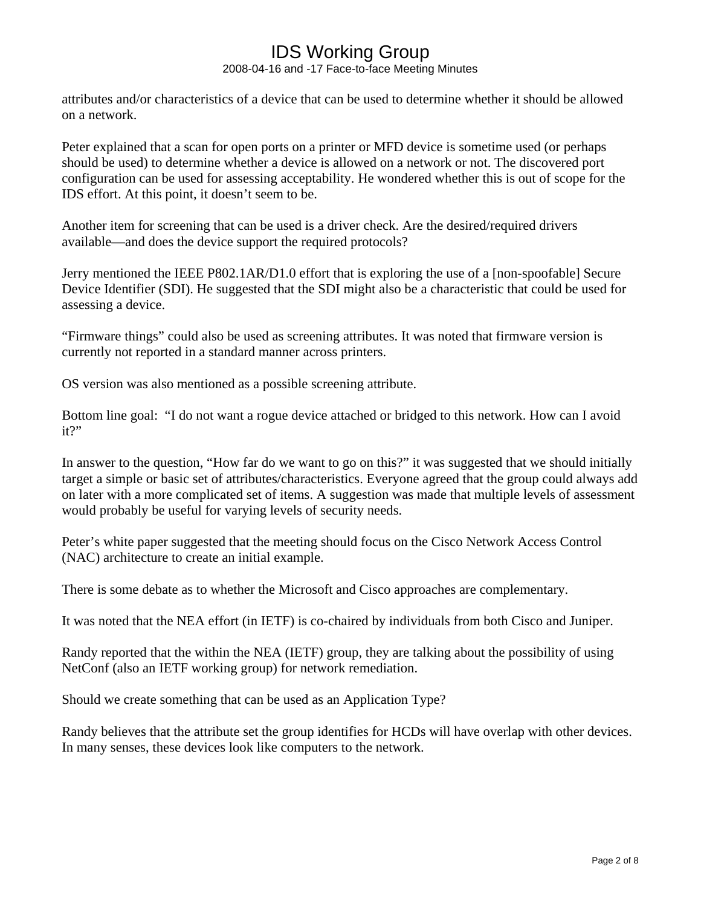2008-04-16 and -17 Face-to-face Meeting Minutes

attributes and/or characteristics of a device that can be used to determine whether it should be allowed on a network.

Peter explained that a scan for open ports on a printer or MFD device is sometime used (or perhaps should be used) to determine whether a device is allowed on a network or not. The discovered port configuration can be used for assessing acceptability. He wondered whether this is out of scope for the IDS effort. At this point, it doesn't seem to be.

Another item for screening that can be used is a driver check. Are the desired/required drivers available—and does the device support the required protocols?

Jerry mentioned the IEEE P802.1AR/D1.0 effort that is exploring the use of a [non-spoofable] Secure Device Identifier (SDI). He suggested that the SDI might also be a characteristic that could be used for assessing a device.

"Firmware things" could also be used as screening attributes. It was noted that firmware version is currently not reported in a standard manner across printers.

OS version was also mentioned as a possible screening attribute.

Bottom line goal: "I do not want a rogue device attached or bridged to this network. How can I avoid it?"

In answer to the question, "How far do we want to go on this?" it was suggested that we should initially target a simple or basic set of attributes/characteristics. Everyone agreed that the group could always add on later with a more complicated set of items. A suggestion was made that multiple levels of assessment would probably be useful for varying levels of security needs.

Peter's white paper suggested that the meeting should focus on the Cisco Network Access Control (NAC) architecture to create an initial example.

There is some debate as to whether the Microsoft and Cisco approaches are complementary.

It was noted that the NEA effort (in IETF) is co-chaired by individuals from both Cisco and Juniper.

Randy reported that the within the NEA (IETF) group, they are talking about the possibility of using NetConf (also an IETF working group) for network remediation.

Should we create something that can be used as an Application Type?

Randy believes that the attribute set the group identifies for HCDs will have overlap with other devices. In many senses, these devices look like computers to the network.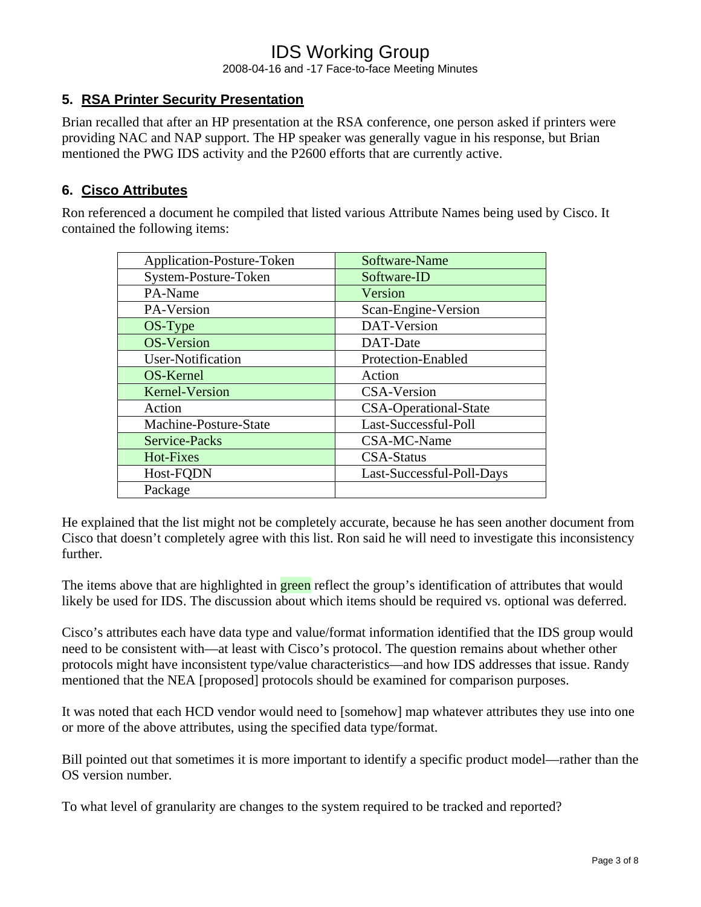2008-04-16 and -17 Face-to-face Meeting Minutes

#### **5. RSA Printer Security Presentation**

Brian recalled that after an HP presentation at the RSA conference, one person asked if printers were providing NAC and NAP support. The HP speaker was generally vague in his response, but Brian mentioned the PWG IDS activity and the P2600 efforts that are currently active.

#### **6. Cisco Attributes**

Ron referenced a document he compiled that listed various Attribute Names being used by Cisco. It contained the following items:

| Application-Posture-Token | Software-Name                |
|---------------------------|------------------------------|
| System-Posture-Token      | Software-ID                  |
| PA-Name                   | Version                      |
| PA-Version                | Scan-Engine-Version          |
| OS-Type                   | DAT-Version                  |
| <b>OS-Version</b>         | DAT-Date                     |
| User-Notification         | Protection-Enabled           |
| OS-Kernel                 | Action                       |
| <b>Kernel-Version</b>     | <b>CSA-Version</b>           |
| Action                    | <b>CSA-Operational-State</b> |
| Machine-Posture-State     | Last-Successful-Poll         |
| Service-Packs             | CSA-MC-Name                  |
| Hot-Fixes                 | <b>CSA-Status</b>            |
| Host-FQDN                 | Last-Successful-Poll-Days    |
| Package                   |                              |

He explained that the list might not be completely accurate, because he has seen another document from Cisco that doesn't completely agree with this list. Ron said he will need to investigate this inconsistency further.

The items above that are highlighted in **green** reflect the group's identification of attributes that would likely be used for IDS. The discussion about which items should be required vs. optional was deferred.

Cisco's attributes each have data type and value/format information identified that the IDS group would need to be consistent with—at least with Cisco's protocol. The question remains about whether other protocols might have inconsistent type/value characteristics—and how IDS addresses that issue. Randy mentioned that the NEA [proposed] protocols should be examined for comparison purposes.

It was noted that each HCD vendor would need to [somehow] map whatever attributes they use into one or more of the above attributes, using the specified data type/format.

Bill pointed out that sometimes it is more important to identify a specific product model—rather than the OS version number.

To what level of granularity are changes to the system required to be tracked and reported?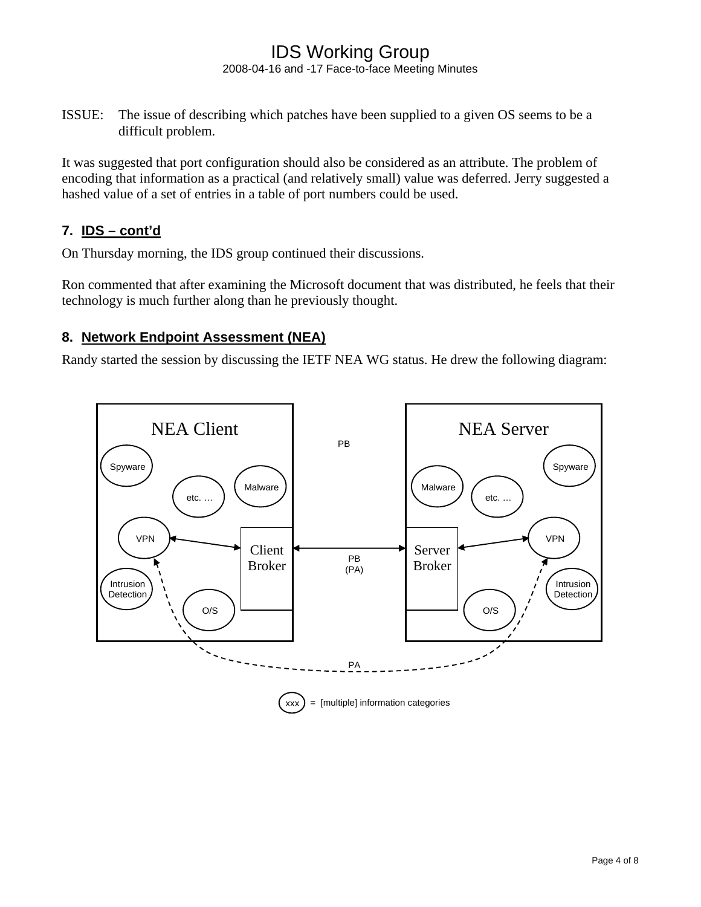#### IDS Working Group 2008-04-16 and -17 Face-to-face Meeting Minutes

ISSUE: The issue of describing which patches have been supplied to a given OS seems to be a difficult problem.

It was suggested that port configuration should also be considered as an attribute. The problem of encoding that information as a practical (and relatively small) value was deferred. Jerry suggested a hashed value of a set of entries in a table of port numbers could be used.

### **7. IDS – cont'd**

On Thursday morning, the IDS group continued their discussions.

Ron commented that after examining the Microsoft document that was distributed, he feels that their technology is much further along than he previously thought.

#### **8. Network Endpoint Assessment (NEA)**

Randy started the session by discussing the IETF NEA WG status. He drew the following diagram:

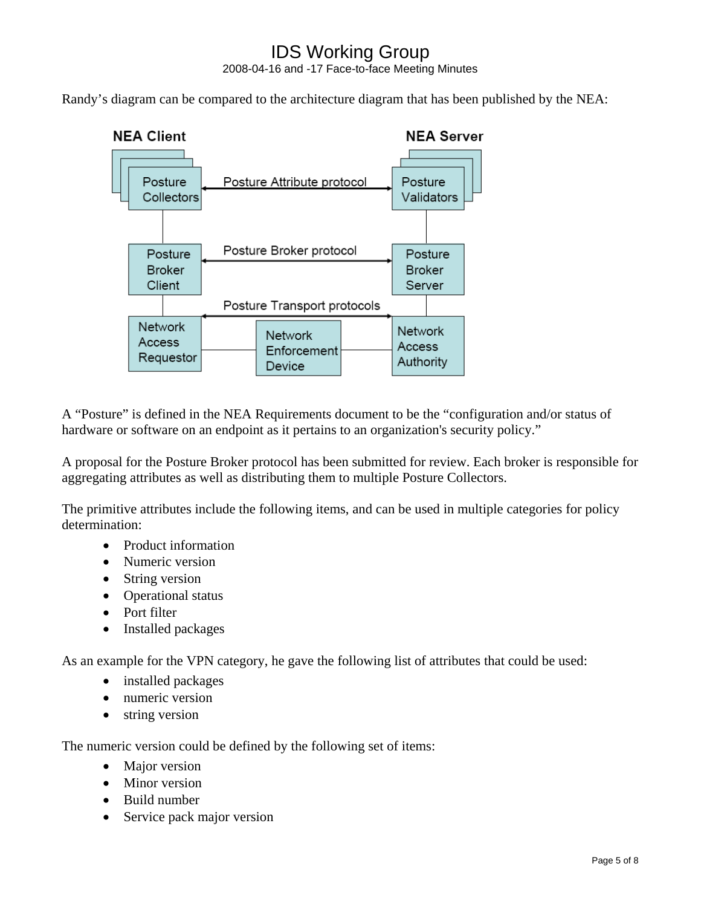## IDS Working Group 2008-04-16 and -17 Face-to-face Meeting Minutes

Randy's diagram can be compared to the architecture diagram that has been published by the NEA:



A "Posture" is defined in the NEA Requirements document to be the "configuration and/or status of hardware or software on an endpoint as it pertains to an organization's security policy."

A proposal for the Posture Broker protocol has been submitted for review. Each broker is responsible for aggregating attributes as well as distributing them to multiple Posture Collectors.

The primitive attributes include the following items, and can be used in multiple categories for policy determination:

- Product information
- Numeric version
- String version
- Operational status
- Port filter
- Installed packages

As an example for the VPN category, he gave the following list of attributes that could be used:

- installed packages
- numeric version
- string version

The numeric version could be defined by the following set of items:

- Major version
- Minor version
- Build number
- Service pack major version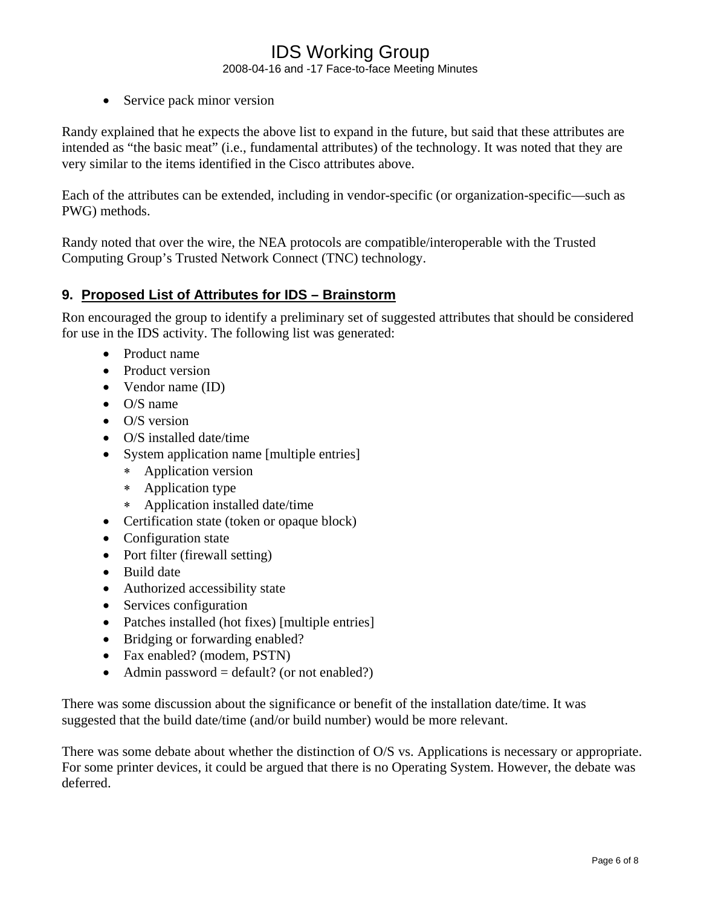2008-04-16 and -17 Face-to-face Meeting Minutes

• Service pack minor version

Randy explained that he expects the above list to expand in the future, but said that these attributes are intended as "the basic meat" (i.e., fundamental attributes) of the technology. It was noted that they are very similar to the items identified in the Cisco attributes above.

Each of the attributes can be extended, including in vendor-specific (or organization-specific—such as PWG) methods.

Randy noted that over the wire, the NEA protocols are compatible/interoperable with the Trusted Computing Group's Trusted Network Connect (TNC) technology.

#### **9. Proposed List of Attributes for IDS – Brainstorm**

Ron encouraged the group to identify a preliminary set of suggested attributes that should be considered for use in the IDS activity. The following list was generated:

- Product name
- Product version
- Vendor name (ID)
- O/S name
- O/S version
- O/S installed date/time
- System application name [multiple entries]
	- ∗ Application version
	- ∗ Application type
	- ∗ Application installed date/time
- Certification state (token or opaque block)
- Configuration state
- Port filter (firewall setting)
- Build date
- Authorized accessibility state
- Services configuration
- Patches installed (hot fixes) [multiple entries]
- Bridging or forwarding enabled?
- Fax enabled? (modem, PSTN)
- Admin password = default? (or not enabled?)

There was some discussion about the significance or benefit of the installation date/time. It was suggested that the build date/time (and/or build number) would be more relevant.

There was some debate about whether the distinction of O/S vs. Applications is necessary or appropriate. For some printer devices, it could be argued that there is no Operating System. However, the debate was deferred.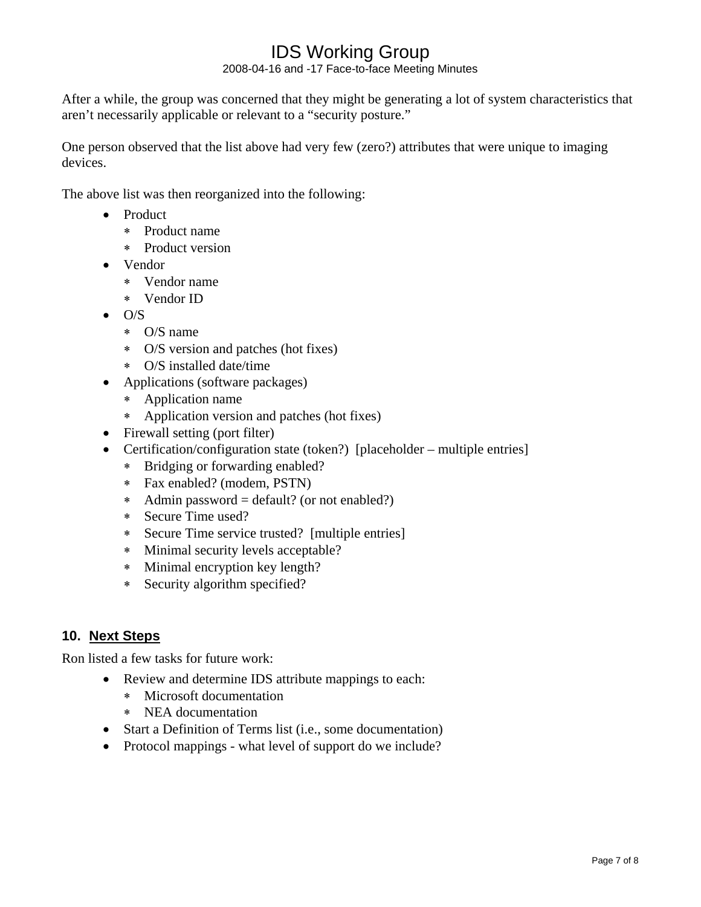2008-04-16 and -17 Face-to-face Meeting Minutes

After a while, the group was concerned that they might be generating a lot of system characteristics that aren't necessarily applicable or relevant to a "security posture."

One person observed that the list above had very few (zero?) attributes that were unique to imaging devices.

The above list was then reorganized into the following:

- Product
	- ∗ Product name
	- ∗ Product version
- Vendor
	- ∗ Vendor name
	- ∗ Vendor ID
- O/S
	- ∗ O/S name
	- ∗ O/S version and patches (hot fixes)
	- ∗ O/S installed date/time
- Applications (software packages)
	- ∗ Application name
	- ∗ Application version and patches (hot fixes)
- Firewall setting (port filter)
- Certification/configuration state (token?) [placeholder multiple entries]
	- ∗ Bridging or forwarding enabled?
	- ∗ Fax enabled? (modem, PSTN)
	- ∗ Admin password = default? (or not enabled?)
	- ∗ Secure Time used?
	- ∗ Secure Time service trusted? [multiple entries]
	- ∗ Minimal security levels acceptable?
	- ∗ Minimal encryption key length?
	- ∗ Security algorithm specified?

#### **10. Next Steps**

Ron listed a few tasks for future work:

- Review and determine IDS attribute mappings to each:
	- ∗ Microsoft documentation
	- ∗ NEA documentation
- Start a Definition of Terms list (i.e., some documentation)
- Protocol mappings what level of support do we include?